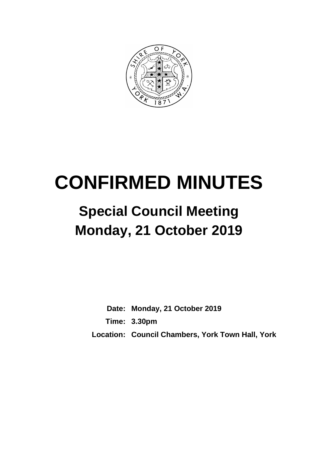

# **CONFIRMED MINUTES**

# **Special Council Meeting Monday, 21 October 2019**

**Date: Monday, 21 October 2019 Time: 3.30pm Location: Council Chambers, York Town Hall, York**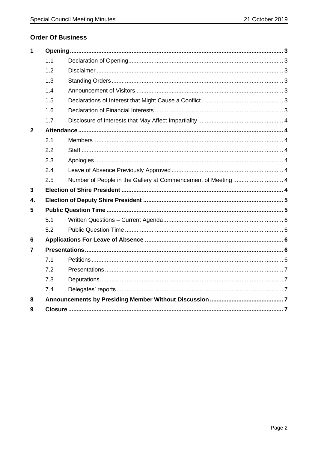# **Order Of Business**

| $\mathbf 1$  |     |                                                               |  |
|--------------|-----|---------------------------------------------------------------|--|
|              | 1.1 |                                                               |  |
|              | 1.2 |                                                               |  |
|              | 1.3 |                                                               |  |
|              | 1.4 |                                                               |  |
|              | 1.5 |                                                               |  |
|              | 1.6 |                                                               |  |
|              | 1.7 |                                                               |  |
| $\mathbf{2}$ |     |                                                               |  |
|              | 2.1 |                                                               |  |
|              | 2.2 |                                                               |  |
|              | 2.3 |                                                               |  |
|              | 2.4 |                                                               |  |
|              | 2.5 | Number of People in the Gallery at Commencement of Meeting  4 |  |
| 3            |     |                                                               |  |
| 4.           |     |                                                               |  |
| 5            |     |                                                               |  |
|              | 5.1 |                                                               |  |
|              | 5.2 |                                                               |  |
| 6            |     |                                                               |  |
| 7            |     |                                                               |  |
|              | 7.1 |                                                               |  |
|              | 7.2 |                                                               |  |
|              | 7.3 |                                                               |  |
|              | 7.4 |                                                               |  |
| 8            |     |                                                               |  |
| 9            |     |                                                               |  |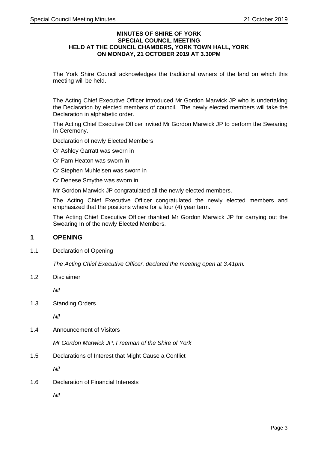#### **MINUTES OF SHIRE OF YORK SPECIAL COUNCIL MEETING HELD AT THE COUNCIL CHAMBERS, YORK TOWN HALL, YORK ON MONDAY, 21 OCTOBER 2019 AT 3.30PM**

The York Shire Council acknowledges the traditional owners of the land on which this meeting will be held.

The Acting Chief Executive Officer introduced Mr Gordon Marwick JP who is undertaking the Declaration by elected members of council. The newly elected members will take the Declaration in alphabetic order.

The Acting Chief Executive Officer invited Mr Gordon Marwick JP to perform the Swearing In Ceremony.

Declaration of newly Elected Members

Cr Ashley Garratt was sworn in

Cr Pam Heaton was sworn in

Cr Stephen Muhleisen was sworn in

Cr Denese Smythe was sworn in

Mr Gordon Marwick JP congratulated all the newly elected members.

The Acting Chief Executive Officer congratulated the newly elected members and emphasized that the positions where for a four (4) year term.

The Acting Chief Executive Officer thanked Mr Gordon Marwick JP for carrying out the Swearing In of the newly Elected Members.

# <span id="page-2-0"></span>**1 OPENING**

<span id="page-2-1"></span>1.1 Declaration of Opening

*The Acting Chief Executive Officer, declared the meeting open at 3.41pm.*

<span id="page-2-2"></span>1.2 Disclaimer

*Nil*

<span id="page-2-3"></span>1.3 Standing Orders

*Nil*

<span id="page-2-4"></span>1.4 Announcement of Visitors

*Mr Gordon Marwick JP, Freeman of the Shire of York*

<span id="page-2-5"></span>1.5 Declarations of Interest that Might Cause a Conflict

*Nil*

<span id="page-2-6"></span>1.6 Declaration of Financial Interests

*Nil*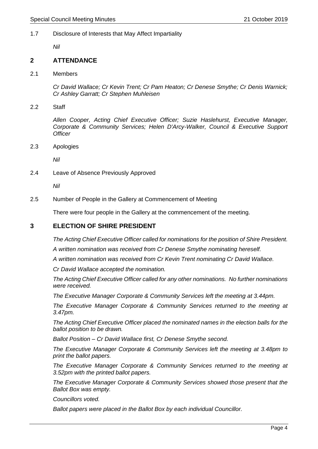#### <span id="page-3-0"></span>1.7 Disclosure of Interests that May Affect Impartiality

*Nil*

#### <span id="page-3-1"></span>**2 ATTENDANCE**

<span id="page-3-2"></span>2.1 Members

*Cr David Wallace; Cr Kevin Trent; Cr Pam Heaton; Cr Denese Smythe; Cr Denis Warnick; Cr Ashley Garratt; Cr Stephen Muhleisen*

<span id="page-3-3"></span>2.2 Staff

*Allen Cooper, Acting Chief Executive Officer; Suzie Haslehurst, Executive Manager, Corporate & Community Services; Helen D'Arcy-Walker, Council & Executive Support Officer*

<span id="page-3-4"></span>2.3 Apologies

*Nil*

<span id="page-3-5"></span>2.4 Leave of Absence Previously Approved

*Nil*

<span id="page-3-6"></span>2.5 Number of People in the Gallery at Commencement of Meeting

There were four people in the Gallery at the commencement of the meeting.

# <span id="page-3-7"></span>**3 ELECTION OF SHIRE PRESIDENT**

*The Acting Chief Executive Officer called for nominations for the position of Shire President.*

*A written nomination was received from Cr Denese Smythe nominating hereself.*

*A written nomination was received from Cr Kevin Trent nominating Cr David Wallace.*

*Cr David Wallace accepted the nomination.*

*The Acting Chief Executive Officer called for any other nominations. No further nominations were received.*

*The Executive Manager Corporate & Community Services left the meeting at 3.44pm.*

*The Executive Manager Corporate & Community Services returned to the meeting at 3.47pm.*

*The Acting Chief Executive Officer placed the nominated names in the election balls for the ballot position to be drawn.*

*Ballot Position – Cr David Wallace first, Cr Denese Smythe second.*

*The Executive Manager Corporate & Community Services left the meeting at 3.48pm to print the ballot papers.*

*The Executive Manager Corporate & Community Services returned to the meeting at 3.52pm with the printed ballot papers.*

*The Executive Manager Corporate & Community Services showed those present that the Ballot Box was empty.*

*Councillors voted.*

*Ballot papers were placed in the Ballot Box by each individual Councillor.*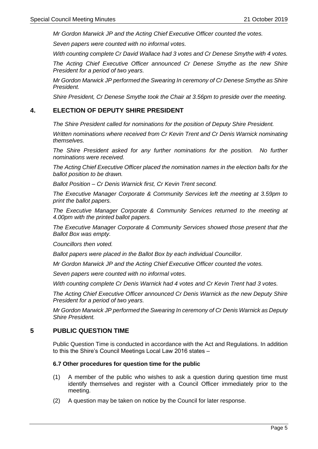*Mr Gordon Marwick JP and the Acting Chief Executive Officer counted the votes.*

*Seven papers were counted with no informal votes.*

*With counting complete Cr David Wallace had 3 votes and Cr Denese Smythe with 4 votes.*

*The Acting Chief Executive Officer announced Cr Denese Smythe as the new Shire President for a period of two years.*

*Mr Gordon Marwick JP performed the Swearing In ceremony of Cr Denese Smythe as Shire President.*

*Shire President, Cr Denese Smythe took the Chair at 3.56pm to preside over the meeting.*

#### <span id="page-4-0"></span>**4. ELECTION OF DEPUTY SHIRE PRESIDENT**

*The Shire President called for nominations for the position of Deputy Shire President.*

*Written nominations where received from Cr Kevin Trent and Cr Denis Warnick nominating themselves.*

*The Shire President asked for any further nominations for the position. No further nominations were received.*

*The Acting Chief Executive Officer placed the nomination names in the election balls for the ballot position to be drawn.*

*Ballot Position – Cr Denis Warnick first, Cr Kevin Trent second.*

*The Executive Manager Corporate & Community Services left the meeting at 3.59pm to print the ballot papers.*

*The Executive Manager Corporate & Community Services returned to the meeting at 4.00pm with the printed ballot papers.*

*The Executive Manager Corporate & Community Services showed those present that the Ballot Box was empty.*

*Councillors then voted.*

*Ballot papers were placed in the Ballot Box by each individual Councillor.*

*Mr Gordon Marwick JP and the Acting Chief Executive Officer counted the votes.*

*Seven papers were counted with no informal votes.*

*With counting complete Cr Denis Warnick had 4 votes and Cr Kevin Trent had 3 votes.*

*The Acting Chief Executive Officer announced Cr Denis Warnick as the new Deputy Shire President for a period of two years.*

*Mr Gordon Marwick JP performed the Swearing In ceremony of Cr Denis Warnick as Deputy Shire President.*

# <span id="page-4-1"></span>**5 PUBLIC QUESTION TIME**

Public Question Time is conducted in accordance with the Act and Regulations. In addition to this the Shire's Council Meetings Local Law 2016 states –

#### **6.7 Other procedures for question time for the public**

- (1) A member of the public who wishes to ask a question during question time must identify themselves and register with a Council Officer immediately prior to the meeting.
- (2) A question may be taken on notice by the Council for later response.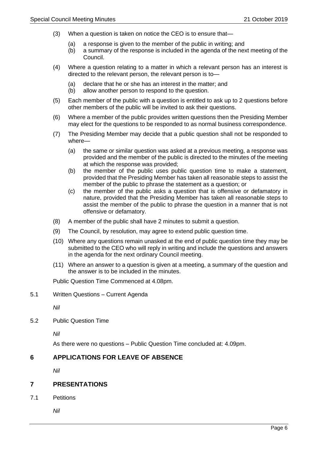- (3) When a question is taken on notice the CEO is to ensure that—
	- (a) a response is given to the member of the public in writing; and
	- (b) a summary of the response is included in the agenda of the next meeting of the Council.
- (4) Where a question relating to a matter in which a relevant person has an interest is directed to the relevant person, the relevant person is to—
	- (a) declare that he or she has an interest in the matter; and
	- (b) allow another person to respond to the question.
- (5) Each member of the public with a question is entitled to ask up to 2 questions before other members of the public will be invited to ask their questions.
- (6) Where a member of the public provides written questions then the Presiding Member may elect for the questions to be responded to as normal business correspondence.
- (7) The Presiding Member may decide that a public question shall not be responded to where—
	- (a) the same or similar question was asked at a previous meeting, a response was provided and the member of the public is directed to the minutes of the meeting at which the response was provided;
	- (b) the member of the public uses public question time to make a statement, provided that the Presiding Member has taken all reasonable steps to assist the member of the public to phrase the statement as a question; or
	- (c) the member of the public asks a question that is offensive or defamatory in nature, provided that the Presiding Member has taken all reasonable steps to assist the member of the public to phrase the question in a manner that is not offensive or defamatory.
- (8) A member of the public shall have 2 minutes to submit a question.
- (9) The Council, by resolution, may agree to extend public question time.
- (10) Where any questions remain unasked at the end of public question time they may be submitted to the CEO who will reply in writing and include the questions and answers in the agenda for the next ordinary Council meeting.
- (11) Where an answer to a question is given at a meeting, a summary of the question and the answer is to be included in the minutes.

Public Question Time Commenced at 4.08pm.

<span id="page-5-0"></span>5.1 Written Questions – Current Agenda

*Nil*

<span id="page-5-1"></span>5.2 Public Question Time

*Nil*

As there were no questions – Public Question Time concluded at: 4.09pm.

# <span id="page-5-2"></span>**6 APPLICATIONS FOR LEAVE OF ABSENCE**

*Nil*

#### <span id="page-5-3"></span>**7 PRESENTATIONS**

<span id="page-5-4"></span>7.1 Petitions

*Nil*